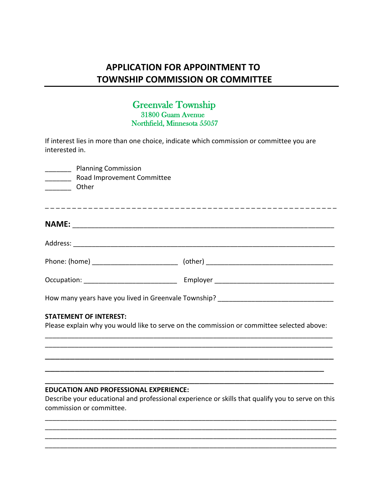# **APPLICATION FOR APPOINTMENT TO TOWNSHIP COMMISSION OR COMMITTEE**

## Greenvale Township 31800 Guam Avenue Northfield, Minnesota 55057

If interest lies in more than one choice, indicate which commission or committee you are interested in.

| Planning Commission                   |                                                                                           |
|---------------------------------------|-------------------------------------------------------------------------------------------|
| __________ Road Improvement Committee |                                                                                           |
| Other                                 |                                                                                           |
|                                       |                                                                                           |
|                                       |                                                                                           |
|                                       |                                                                                           |
|                                       |                                                                                           |
|                                       |                                                                                           |
|                                       |                                                                                           |
|                                       | How many years have you lived in Greenvale Township? ___________________________          |
| <b>STATEMENT OF INTEREST:</b>         |                                                                                           |
|                                       | Please explain why you would like to serve on the commission or committee selected above: |
|                                       |                                                                                           |
|                                       |                                                                                           |
|                                       |                                                                                           |

### **EDUCATION AND PROFESSIONAL EXPERIENCE:**

Describe your educational and professional experience or skills that qualify you to serve on this commission or committee.

\_\_\_\_\_\_\_\_\_\_\_\_\_\_\_\_\_\_\_\_\_\_\_\_\_\_\_\_\_\_\_\_\_\_\_\_\_\_\_\_\_\_\_\_\_\_\_\_\_\_\_\_\_\_\_\_\_\_\_\_\_\_\_\_\_\_\_\_\_\_\_\_\_\_\_\_\_\_ \_\_\_\_\_\_\_\_\_\_\_\_\_\_\_\_\_\_\_\_\_\_\_\_\_\_\_\_\_\_\_\_\_\_\_\_\_\_\_\_\_\_\_\_\_\_\_\_\_\_\_\_\_\_\_\_\_\_\_\_\_\_\_\_\_\_\_\_\_\_\_\_\_\_\_\_\_\_ \_\_\_\_\_\_\_\_\_\_\_\_\_\_\_\_\_\_\_\_\_\_\_\_\_\_\_\_\_\_\_\_\_\_\_\_\_\_\_\_\_\_\_\_\_\_\_\_\_\_\_\_\_\_\_\_\_\_\_\_\_\_\_\_\_\_\_\_\_\_\_\_\_\_\_\_\_\_ \_\_\_\_\_\_\_\_\_\_\_\_\_\_\_\_\_\_\_\_\_\_\_\_\_\_\_\_\_\_\_\_\_\_\_\_\_\_\_\_\_\_\_\_\_\_\_\_\_\_\_\_\_\_\_\_\_\_\_\_\_\_\_\_\_\_\_\_\_\_\_\_\_\_\_\_\_\_

\_\_\_\_\_\_\_\_\_\_\_\_\_\_\_\_\_\_\_\_\_\_\_\_\_\_\_\_\_\_\_\_\_\_\_\_\_\_\_\_\_\_\_\_\_\_\_\_\_\_\_\_\_\_\_\_\_\_